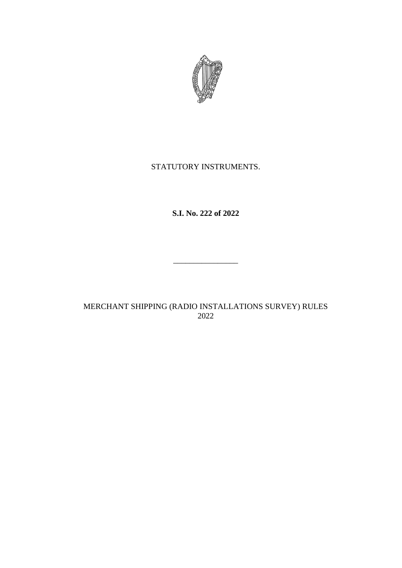

# STATUTORY INSTRUMENTS.

**S.I. No. 222 of 2022**

MERCHANT SHIPPING (RADIO INSTALLATIONS SURVEY) RULES 2022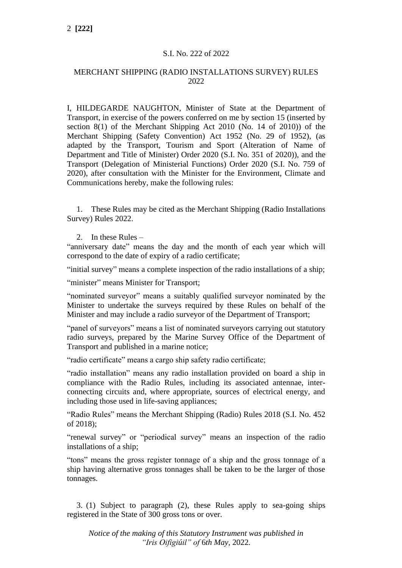#### S.I. No. 222 of 2022

#### MERCHANT SHIPPING (RADIO INSTALLATIONS SURVEY) RULES 2022

I, HILDEGARDE NAUGHTON, Minister of State at the Department of Transport, in exercise of the powers conferred on me by section 15 (inserted by section 8(1) of the Merchant Shipping Act 2010 (No. 14 of 2010)) of the Merchant Shipping (Safety Convention) Act 1952 (No. 29 of 1952), (as adapted by the Transport, Tourism and Sport (Alteration of Name of Department and Title of Minister) Order 2020 (S.I. No. 351 of 2020)), and the Transport (Delegation of Ministerial Functions) Order 2020 (S.I. No. 759 of 2020), after consultation with the Minister for the Environment, Climate and Communications hereby, make the following rules:

1. These Rules may be cited as the Merchant Shipping (Radio Installations Survey) Rules 2022.

2. In these Rules –

"anniversary date" means the day and the month of each year which will correspond to the date of expiry of a radio certificate;

"initial survey" means a complete inspection of the radio installations of a ship;

"minister" means Minister for Transport;

"nominated surveyor" means a suitably qualified surveyor nominated by the Minister to undertake the surveys required by these Rules on behalf of the Minister and may include a radio surveyor of the Department of Transport;

"panel of surveyors" means a list of nominated surveyors carrying out statutory radio surveys, prepared by the Marine Survey Office of the Department of Transport and published in a marine notice;

"radio certificate" means a cargo ship safety radio certificate;

"radio installation" means any radio installation provided on board a ship in compliance with the Radio Rules, including its associated antennae, interconnecting circuits and, where appropriate, sources of electrical energy, and including those used in life-saving appliances;

"Radio Rules" means the Merchant Shipping (Radio) Rules 2018 (S.I. No. 452 of 2018);

"renewal survey" or "periodical survey" means an inspection of the radio installations of a ship;

"tons" means the gross register tonnage of a ship and the gross tonnage of a ship having alternative gross tonnages shall be taken to be the larger of those tonnages.

3. (1) Subject to paragraph (2), these Rules apply to sea-going ships registered in the State of 300 gross tons or over.

*Notice of the making of this Statutory Instrument was published in "Iris Oifigiúil" of* 6*th May,* 2022*.*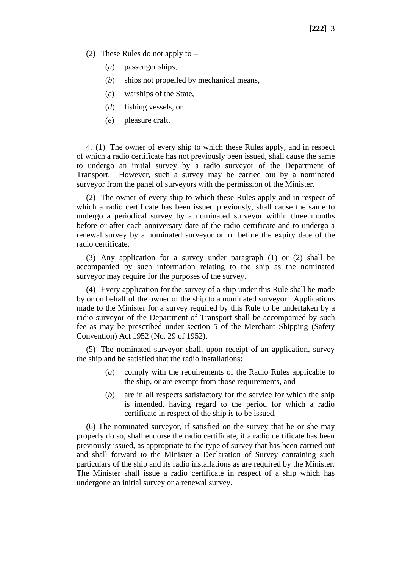- (2) These Rules do not apply to
	- (*a*) passenger ships,
	- (*b*) ships not propelled by mechanical means,
	- (*c*) warships of the State,
	- (*d*) fishing vessels, or
	- (*e*) pleasure craft.

4. (1) The owner of every ship to which these Rules apply, and in respect of which a radio certificate has not previously been issued, shall cause the same to undergo an initial survey by a radio surveyor of the Department of Transport. However, such a survey may be carried out by a nominated surveyor from the panel of surveyors with the permission of the Minister.

(2) The owner of every ship to which these Rules apply and in respect of which a radio certificate has been issued previously, shall cause the same to undergo a periodical survey by a nominated surveyor within three months before or after each anniversary date of the radio certificate and to undergo a renewal survey by a nominated surveyor on or before the expiry date of the radio certificate.

(3) Any application for a survey under paragraph (1) or (2) shall be accompanied by such information relating to the ship as the nominated surveyor may require for the purposes of the survey.

(4) Every application for the survey of a ship under this Rule shall be made by or on behalf of the owner of the ship to a nominated surveyor. Applications made to the Minister for a survey required by this Rule to be undertaken by a radio surveyor of the Department of Transport shall be accompanied by such fee as may be prescribed under section 5 of the Merchant Shipping (Safety Convention) Act 1952 (No. 29 of 1952).

(5) The nominated surveyor shall, upon receipt of an application, survey the ship and be satisfied that the radio installations:

- (*a*) comply with the requirements of the Radio Rules applicable to the ship, or are exempt from those requirements, and
- (*b*) are in all respects satisfactory for the service for which the ship is intended, having regard to the period for which a radio certificate in respect of the ship is to be issued.

(6) The nominated surveyor, if satisfied on the survey that he or she may properly do so, shall endorse the radio certificate, if a radio certificate has been previously issued, as appropriate to the type of survey that has been carried out and shall forward to the Minister a Declaration of Survey containing such particulars of the ship and its radio installations as are required by the Minister. The Minister shall issue a radio certificate in respect of a ship which has undergone an initial survey or a renewal survey.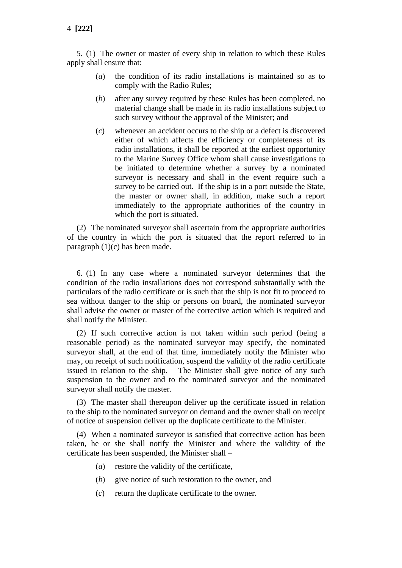5. (1) The owner or master of every ship in relation to which these Rules apply shall ensure that:

- (*a*) the condition of its radio installations is maintained so as to comply with the Radio Rules;
- (*b*) after any survey required by these Rules has been completed, no material change shall be made in its radio installations subject to such survey without the approval of the Minister; and
- (*c*) whenever an accident occurs to the ship or a defect is discovered either of which affects the efficiency or completeness of its radio installations, it shall be reported at the earliest opportunity to the Marine Survey Office whom shall cause investigations to be initiated to determine whether a survey by a nominated surveyor is necessary and shall in the event require such a survey to be carried out. If the ship is in a port outside the State, the master or owner shall, in addition, make such a report immediately to the appropriate authorities of the country in which the port is situated.

(2) The nominated surveyor shall ascertain from the appropriate authorities of the country in which the port is situated that the report referred to in paragraph (1)(c) has been made.

6. (1) In any case where a nominated surveyor determines that the condition of the radio installations does not correspond substantially with the particulars of the radio certificate or is such that the ship is not fit to proceed to sea without danger to the ship or persons on board, the nominated surveyor shall advise the owner or master of the corrective action which is required and shall notify the Minister.

(2) If such corrective action is not taken within such period (being a reasonable period) as the nominated surveyor may specify, the nominated surveyor shall, at the end of that time, immediately notify the Minister who may, on receipt of such notification, suspend the validity of the radio certificate issued in relation to the ship. The Minister shall give notice of any such suspension to the owner and to the nominated surveyor and the nominated surveyor shall notify the master.

(3) The master shall thereupon deliver up the certificate issued in relation to the ship to the nominated surveyor on demand and the owner shall on receipt of notice of suspension deliver up the duplicate certificate to the Minister.

(4) When a nominated surveyor is satisfied that corrective action has been taken, he or she shall notify the Minister and where the validity of the certificate has been suspended, the Minister shall –

- (*a*) restore the validity of the certificate,
- (*b*) give notice of such restoration to the owner, and
- (*c*) return the duplicate certificate to the owner.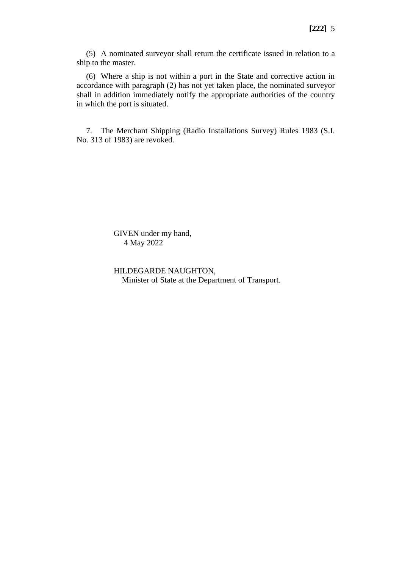(5) A nominated surveyor shall return the certificate issued in relation to a ship to the master.

(6) Where a ship is not within a port in the State and corrective action in accordance with paragraph (2) has not yet taken place, the nominated surveyor shall in addition immediately notify the appropriate authorities of the country in which the port is situated.

7. The Merchant Shipping (Radio Installations Survey) Rules 1983 (S.I. No. 313 of 1983) are revoked.

> GIVEN under my hand, 4 May 2022

HILDEGARDE NAUGHTON, Minister of State at the Department of Transport.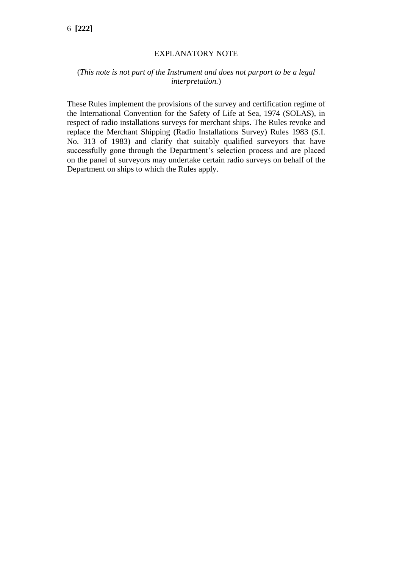### EXPLANATORY NOTE

## (*This note is not part of the Instrument and does not purport to be a legal interpretation.*)

These Rules implement the provisions of the survey and certification regime of the International Convention for the Safety of Life at Sea, 1974 (SOLAS), in respect of radio installations surveys for merchant ships. The Rules revoke and replace the Merchant Shipping (Radio Installations Survey) Rules 1983 (S.I. No. 313 of 1983) and clarify that suitably qualified surveyors that have successfully gone through the Department's selection process and are placed on the panel of surveyors may undertake certain radio surveys on behalf of the Department on ships to which the Rules apply.